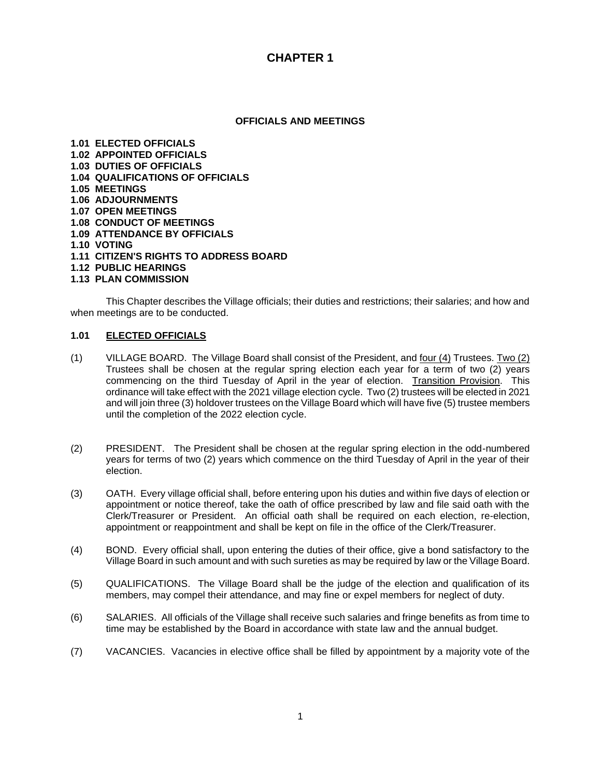#### **OFFICIALS AND MEETINGS**

**1.01 ELECTED OFFICIALS 1.02 APPOINTED OFFICIALS 1.03 DUTIES OF OFFICIALS 1.04 QUALIFICATIONS OF OFFICIALS 1.05 MEETINGS 1.06 ADJOURNMENTS 1.07 OPEN MEETINGS 1.08 CONDUCT OF MEETINGS 1.09 ATTENDANCE BY OFFICIALS 1.10 VOTING 1.11 CITIZEN'S RIGHTS TO ADDRESS BOARD 1.12 PUBLIC HEARINGS 1.13 PLAN COMMISSION**

 This Chapter describes the Village officials; their duties and restrictions; their salaries; and how and when meetings are to be conducted.

#### **1.01 ELECTED OFFICIALS**

- (1) VILLAGE BOARD. The Village Board shall consist of the President, and four (4) Trustees. Two (2) Trustees shall be chosen at the regular spring election each year for a term of two (2) years commencing on the third Tuesday of April in the year of election. Transition Provision. This ordinance will take effect with the 2021 village election cycle. Two (2) trustees will be elected in 2021 and will join three (3) holdover trustees on the Village Board which will have five (5) trustee members until the completion of the 2022 election cycle.
- (2) PRESIDENT. The President shall be chosen at the regular spring election in the odd-numbered years for terms of two (2) years which commence on the third Tuesday of April in the year of their election.
- (3) OATH. Every village official shall, before entering upon his duties and within five days of election or appointment or notice thereof, take the oath of office prescribed by law and file said oath with the Clerk/Treasurer or President. An official oath shall be required on each election, re-election, appointment or reappointment and shall be kept on file in the office of the Clerk/Treasurer.
- (4) BOND. Every official shall, upon entering the duties of their office, give a bond satisfactory to the Village Board in such amount and with such sureties as may be required by law or the Village Board.
- (5) QUALIFICATIONS. The Village Board shall be the judge of the election and qualification of its members, may compel their attendance, and may fine or expel members for neglect of duty.
- (6) SALARIES. All officials of the Village shall receive such salaries and fringe benefits as from time to time may be established by the Board in accordance with state law and the annual budget.
- (7) VACANCIES. Vacancies in elective office shall be filled by appointment by a majority vote of the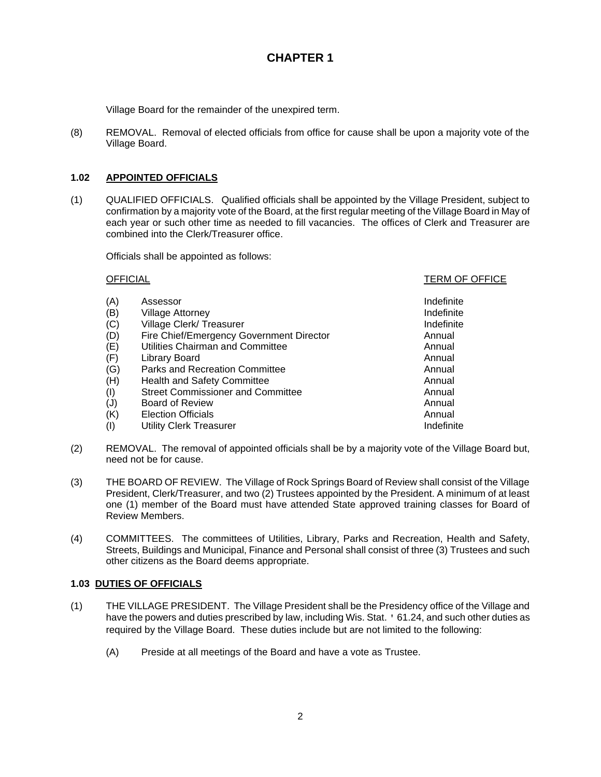Village Board for the remainder of the unexpired term.

(8) REMOVAL. Removal of elected officials from office for cause shall be upon a majority vote of the Village Board.

## **1.02 APPOINTED OFFICIALS**

(1) QUALIFIED OFFICIALS. Qualified officials shall be appointed by the Village President, subject to confirmation by a majority vote of the Board, at the first regular meeting of the Village Board in May of each year or such other time as needed to fill vacancies. The offices of Clerk and Treasurer are combined into the Clerk/Treasurer office.

Officials shall be appointed as follows:

#### OFFICIAL TERM OF OFFICE

| (A) | Assessor                                 | Indefinite |
|-----|------------------------------------------|------------|
| (B) | <b>Village Attorney</b>                  | Indefinite |
| (C) | Village Clerk/ Treasurer                 | Indefinite |
| (D) | Fire Chief/Emergency Government Director | Annual     |
| (E) | Utilities Chairman and Committee         | Annual     |
| (F) | Library Board                            | Annual     |
| (G) | Parks and Recreation Committee           | Annual     |
| (H) | <b>Health and Safety Committee</b>       | Annual     |
| (1) | <b>Street Commissioner and Committee</b> | Annual     |
| (J) | <b>Board of Review</b>                   | Annual     |
| (K) | <b>Election Officials</b>                | Annual     |
| (1) | Utility Clerk Treasurer                  | Indefinite |

- (2) REMOVAL. The removal of appointed officials shall be by a majority vote of the Village Board but, need not be for cause.
- (3) THE BOARD OF REVIEW. The Village of Rock Springs Board of Review shall consist of the Village President, Clerk/Treasurer, and two (2) Trustees appointed by the President. A minimum of at least one (1) member of the Board must have attended State approved training classes for Board of Review Members.
- (4) COMMITTEES. The committees of Utilities, Library, Parks and Recreation, Health and Safety, Streets, Buildings and Municipal, Finance and Personal shall consist of three (3) Trustees and such other citizens as the Board deems appropriate.

## **1.03 DUTIES OF OFFICIALS**

- (1) THE VILLAGE PRESIDENT. The Village President shall be the Presidency office of the Village and have the powers and duties prescribed by law, including Wis. Stat. ' 61.24, and such other duties as required by the Village Board. These duties include but are not limited to the following:
	- (A) Preside at all meetings of the Board and have a vote as Trustee.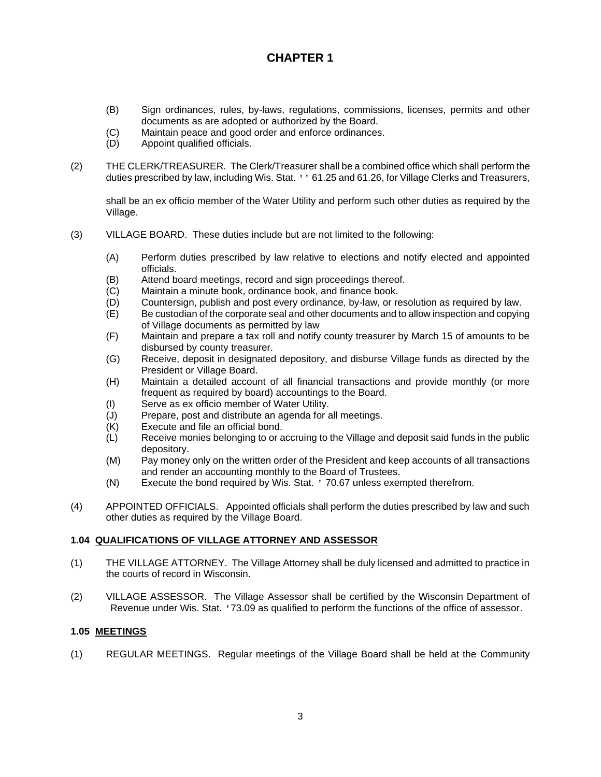- (B) Sign ordinances, rules, by-laws, regulations, commissions, licenses, permits and other documents as are adopted or authorized by the Board.
- (C) Maintain peace and good order and enforce ordinances.
- (D) Appoint qualified officials.
- (2) THE CLERK/TREASURER. The Clerk/Treasurer shall be a combined office which shall perform the duties prescribed by law, including Wis. Stat. '' 61.25 and 61.26, for Village Clerks and Treasurers,

shall be an ex officio member of the Water Utility and perform such other duties as required by the Village.

- (3) VILLAGE BOARD. These duties include but are not limited to the following:
	- (A) Perform duties prescribed by law relative to elections and notify elected and appointed officials.
	- (B) Attend board meetings, record and sign proceedings thereof.
	- (C) Maintain a minute book, ordinance book, and finance book.
	- (D) Countersign, publish and post every ordinance, by-law, or resolution as required by law.
	- (E) Be custodian of the corporate seal and other documents and to allow inspection and copying of Village documents as permitted by law
	- (F) Maintain and prepare a tax roll and notify county treasurer by March 15 of amounts to be disbursed by county treasurer.
	- (G) Receive, deposit in designated depository, and disburse Village funds as directed by the President or Village Board.
	- (H) Maintain a detailed account of all financial transactions and provide monthly (or more frequent as required by board) accountings to the Board.
	- (I) Serve as ex officio member of Water Utility.
	- (J) Prepare, post and distribute an agenda for all meetings.<br>(K) Execute and file an official bond.
	- Execute and file an official bond.
	- (L) Receive monies belonging to or accruing to the Village and deposit said funds in the public depository.
	- (M) Pay money only on the written order of the President and keep accounts of all transactions and render an accounting monthly to the Board of Trustees.
	- (N) Execute the bond required by Wis. Stat. ' 70.67 unless exempted therefrom.
- (4) APPOINTED OFFICIALS. Appointed officials shall perform the duties prescribed by law and such other duties as required by the Village Board.

### **1.04 QUALIFICATIONS OF VILLAGE ATTORNEY AND ASSESSOR**

- (1) THE VILLAGE ATTORNEY. The Village Attorney shall be duly licensed and admitted to practice in the courts of record in Wisconsin.
- (2) VILLAGE ASSESSOR. The Village Assessor shall be certified by the Wisconsin Department of Revenue under Wis. Stat. '73.09 as qualified to perform the functions of the office of assessor.

### **1.05 MEETINGS**

(1) REGULAR MEETINGS. Regular meetings of the Village Board shall be held at the Community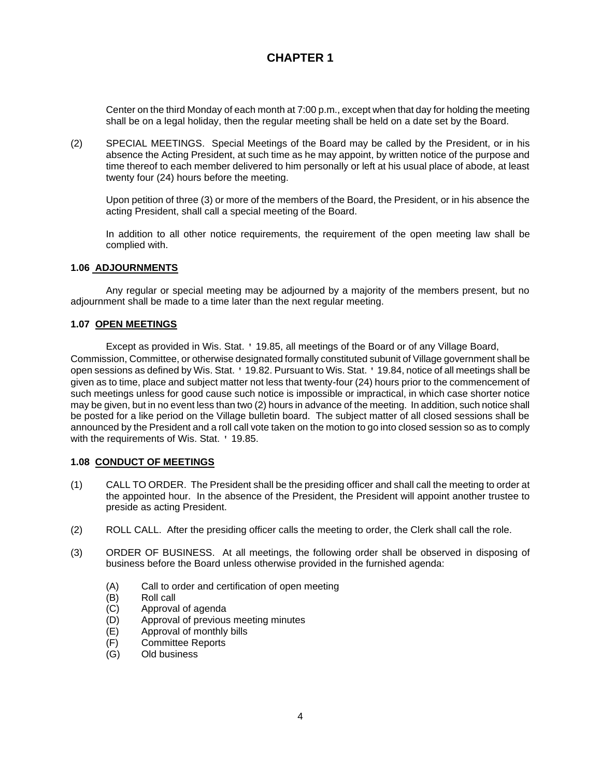Center on the third Monday of each month at 7:00 p.m., except when that day for holding the meeting shall be on a legal holiday, then the regular meeting shall be held on a date set by the Board.

(2) SPECIAL MEETINGS. Special Meetings of the Board may be called by the President, or in his absence the Acting President, at such time as he may appoint, by written notice of the purpose and time thereof to each member delivered to him personally or left at his usual place of abode, at least twenty four (24) hours before the meeting.

Upon petition of three (3) or more of the members of the Board, the President, or in his absence the acting President, shall call a special meeting of the Board.

In addition to all other notice requirements, the requirement of the open meeting law shall be complied with.

#### **1.06 ADJOURNMENTS**

Any regular or special meeting may be adjourned by a majority of the members present, but no adjournment shall be made to a time later than the next regular meeting.

#### **1.07 OPEN MEETINGS**

Except as provided in Wis. Stat. ' 19.85, all meetings of the Board or of any Village Board, Commission, Committee, or otherwise designated formally constituted subunit of Village government shall be open sessions as defined by Wis. Stat. ' 19.82. Pursuant to Wis. Stat. ' 19.84, notice of all meetings shall be given as to time, place and subject matter not less that twenty-four (24) hours prior to the commencement of such meetings unless for good cause such notice is impossible or impractical, in which case shorter notice may be given, but in no event less than two (2) hours in advance of the meeting. In addition, such notice shall be posted for a like period on the Village bulletin board. The subject matter of all closed sessions shall be announced by the President and a roll call vote taken on the motion to go into closed session so as to comply with the requirements of Wis. Stat. ' 19.85.

### **1.08 CONDUCT OF MEETINGS**

- (1) CALL TO ORDER. The President shall be the presiding officer and shall call the meeting to order at the appointed hour. In the absence of the President, the President will appoint another trustee to preside as acting President.
- (2) ROLL CALL. After the presiding officer calls the meeting to order, the Clerk shall call the role.
- (3) ORDER OF BUSINESS. At all meetings, the following order shall be observed in disposing of business before the Board unless otherwise provided in the furnished agenda:
	- (A) Call to order and certification of open meeting
	- (B) Roll call
	- (C) Approval of agenda
	- (D) Approval of previous meeting minutes
	- (E) Approval of monthly bills
	- (F) Committee Reports
	- Old business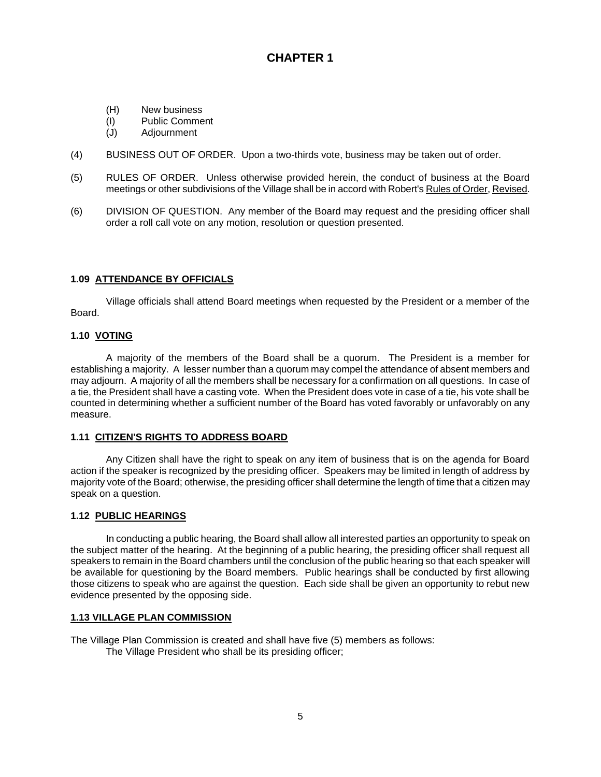- (H) New business
- (I) Public Comment
- (J) Adjournment
- (4) BUSINESS OUT OF ORDER. Upon a two-thirds vote, business may be taken out of order.
- (5) RULES OF ORDER. Unless otherwise provided herein, the conduct of business at the Board meetings or other subdivisions of the Village shall be in accord with Robert's Rules of Order, Revised.
- (6) DIVISION OF QUESTION. Any member of the Board may request and the presiding officer shall order a roll call vote on any motion, resolution or question presented.

## **1.09 ATTENDANCE BY OFFICIALS**

Village officials shall attend Board meetings when requested by the President or a member of the Board.

### **1.10 VOTING**

A majority of the members of the Board shall be a quorum. The President is a member for establishing a majority. A lesser number than a quorum may compel the attendance of absent members and may adjourn. A majority of all the members shall be necessary for a confirmation on all questions. In case of a tie, the President shall have a casting vote. When the President does vote in case of a tie, his vote shall be counted in determining whether a sufficient number of the Board has voted favorably or unfavorably on any measure.

### **1.11 CITIZEN'S RIGHTS TO ADDRESS BOARD**

Any Citizen shall have the right to speak on any item of business that is on the agenda for Board action if the speaker is recognized by the presiding officer. Speakers may be limited in length of address by majority vote of the Board; otherwise, the presiding officer shall determine the length of time that a citizen may speak on a question.

### **1.12 PUBLIC HEARINGS**

In conducting a public hearing, the Board shall allow all interested parties an opportunity to speak on the subject matter of the hearing. At the beginning of a public hearing, the presiding officer shall request all speakers to remain in the Board chambers until the conclusion of the public hearing so that each speaker will be available for questioning by the Board members. Public hearings shall be conducted by first allowing those citizens to speak who are against the question. Each side shall be given an opportunity to rebut new evidence presented by the opposing side.

### **1.13 VILLAGE PLAN COMMISSION**

The Village Plan Commission is created and shall have five (5) members as follows: The Village President who shall be its presiding officer;